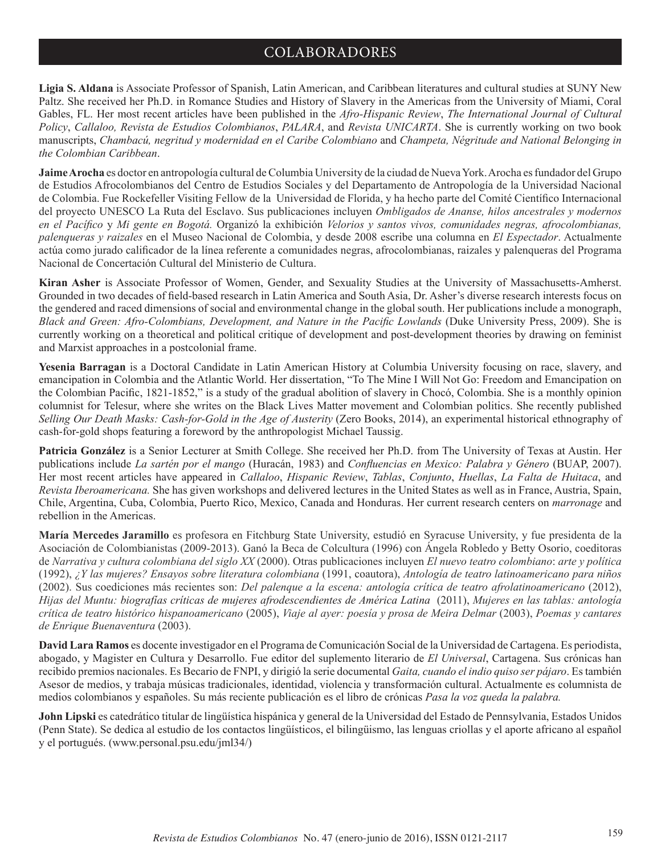## COLABORADORES

**Ligia S. Aldana** is Associate Professor of Spanish, Latin American, and Caribbean literatures and cultural studies at SUNY New Paltz. She received her Ph.D. in Romance Studies and History of Slavery in the Americas from the University of Miami, Coral Gables, FL. Her most recent articles have been published in the *Afro-Hispanic Review*, *The International Journal of Cultural Policy*, *Callaloo, Revista de Estudios Colombianos*, *PALARA*, and *Revista UNICARTA*. She is currently working on two book manuscripts, *Chambacú, negritud y modernidad en el Caribe Colombiano* and *Champeta, Négritude and National Belonging in the Colombian Caribbean*.

**Jaime Arocha** es doctor en antropología cultural de Columbia University de la ciudad de Nueva York. Arocha es fundador del Grupo de Estudios Afrocolombianos del Centro de Estudios Sociales y del Departamento de Antropología de la Universidad Nacional de Colombia. Fue Rockefeller Visiting Fellow de la Universidad de Florida, y ha hecho parte del Comité Científico Internacional del proyecto UNESCO La Ruta del Esclavo. Sus publicaciones incluyen *Ombligados de Ananse, hilos ancestrales y modernos en el Pacífico* y *Mi gente en Bogotá.* Organizó la exhibición *Velorios y santos vivos, comunidades negras, afrocolombianas, palenqueras y raizales* en el Museo Nacional de Colombia, y desde 2008 escribe una columna en *El Espectador*. Actualmente actúa como jurado calificador de la línea referente a comunidades negras, afrocolombianas, raizales y palenqueras del Programa Nacional de Concertación Cultural del Ministerio de Cultura.

**Kiran Asher** is Associate Professor of Women, Gender, and Sexuality Studies at the University of Massachusetts-Amherst. Grounded in two decades of field-based research in Latin America and South Asia, Dr. Asher's diverse research interests focus on the gendered and raced dimensions of social and environmental change in the global south. Her publications include a monograph, *Black and Green: Afro-Colombians, Development, and Nature in the Pacific Lowlands* (Duke University Press, 2009). She is currently working on a theoretical and political critique of development and post-development theories by drawing on feminist and Marxist approaches in a postcolonial frame.

**Yesenia Barragan** is a Doctoral Candidate in Latin American History at Columbia University focusing on race, slavery, and emancipation in Colombia and the Atlantic World. Her dissertation, "To The Mine I Will Not Go: Freedom and Emancipation on the Colombian Pacific, 1821-1852," is a study of the gradual abolition of slavery in Chocó, Colombia. She is a monthly opinion columnist for Telesur, where she writes on the Black Lives Matter movement and Colombian politics. She recently published *Selling Our Death Masks: Cash-for-Gold in the Age of Austerity (Zero Books, 2014), an experimental historical ethnography of* cash-for-gold shops featuring a foreword by the anthropologist Michael Taussig.

**Patricia González** is a Senior Lecturer at Smith College. She received her Ph.D. from The University of Texas at Austin. Her publications include *La sartén por el mango* (Huracán, 1983) and *Confluencias en Mexico: Palabra y Género* (BUAP, 2007). Her most recent articles have appeared in *Callaloo*, *Hispanic Review*, *Tablas*, *Conjunto*, *Huellas*, *La Falta de Huitaca*, and *Revista Iberoamericana.* She has given workshops and delivered lectures in the United States as well as in France, Austria, Spain, Chile, Argentina, Cuba, Colombia, Puerto Rico, Mexico, Canada and Honduras. Her current research centers on *marronage* and rebellion in the Americas.

**María Mercedes Jaramillo** es profesora en Fitchburg State University, estudió en Syracuse University, y fue presidenta de la Asociación de Colombianistas (2009-2013). Ganó la Beca de Colcultura (1996) con Ángela Robledo y Betty Osorio, coeditoras de *Narrativa y cultura colombiana del siglo XX* (2000). Otras publicaciones incluyen *El nuevo teatro colombiano*: *arte y política* (1992), *¿Y las mujeres? Ensayos sobre literatura colombiana* (1991, coautora), *Antología de teatro latinoamericano para niños* (2002). Sus coediciones más recientes son: *Del palenque a la escena: antología crítica de teatro afrolatinoamericano* (2012), *Hijas del Muntu: biografías críticas de mujeres afrodescendientes de América Latina* (2011), *Mujeres en las tablas: antología crítica de teatro histórico hispanoamericano* (2005), *Viaje al ayer: poesía y prosa de Meira Delmar* (2003), *Poemas y cantares de Enrique Buenaventura* (2003).

**David Lara Ramos** es docente investigador en el Programa de Comunicación Social de la Universidad de Cartagena. Es periodista, abogado, y Magister en Cultura y Desarrollo. Fue editor del suplemento literario de *El Universal*, Cartagena. Sus crónicas han recibido premios nacionales. Es Becario de FNPI, y dirigió la serie documental *Gaita, cuando el indio quiso ser pájaro*. Es también Asesor de medios, y trabaja músicas tradicionales, identidad, violencia y transformación cultural. Actualmente es columnista de medios colombianos y españoles. Su más reciente publicación es el libro de crónicas *Pasa la voz queda la palabra.* 

**John Lipski** es catedrático titular de lingüística hispánica y general de la Universidad del Estado de Pennsylvania, Estados Unidos (Penn State). Se dedica al estudio de los contactos lingüísticos, el bilingüismo, las lenguas criollas y el aporte africano al español y el portugués. (www.personal.psu.edu/jml34/)